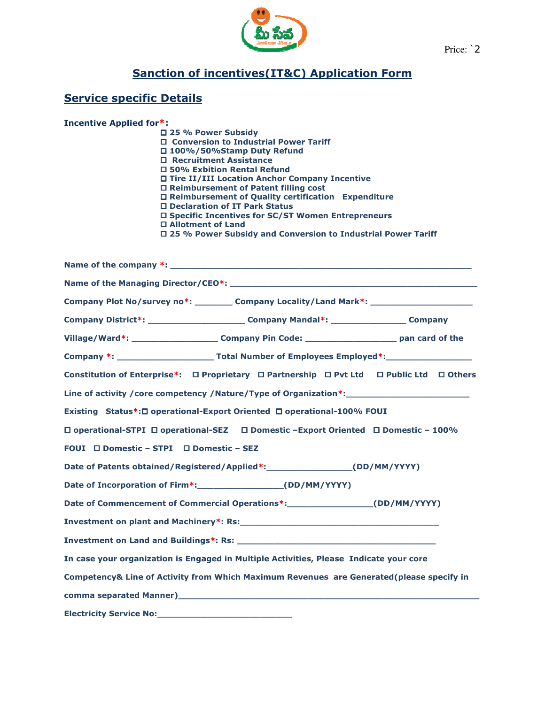

## <u>Sanction of incentives(IT&C) Application Form</u>

#### Service specific Details Service specific

|                                                           |                                                                                                                                                                                                                                                                                                                                                                                                                                                                                                    | Price: 2 |  |  |
|-----------------------------------------------------------|----------------------------------------------------------------------------------------------------------------------------------------------------------------------------------------------------------------------------------------------------------------------------------------------------------------------------------------------------------------------------------------------------------------------------------------------------------------------------------------------------|----------|--|--|
| <b>Sanction of incentives (IT&amp;C) Application Form</b> |                                                                                                                                                                                                                                                                                                                                                                                                                                                                                                    |          |  |  |
| <b>Service specific Details</b>                           |                                                                                                                                                                                                                                                                                                                                                                                                                                                                                                    |          |  |  |
| <b>Incentive Applied for*:</b>                            | □ 25 % Power Subsidy<br>□ Conversion to Industrial Power Tariff<br>□ 100%/50%Stamp Duty Refund<br>□ Recruitment Assistance<br>□ 50% Exbition Rental Refund<br>□ Tire II/III Location Anchor Company Incentive<br>□ Reimbursement of Patent filling cost<br>□ Reimbursement of Quality certification Expenditure<br>□ Declaration of IT Park Status<br>□ Specific Incentives for SC/ST Women Entrepreneurs<br>□ Allotment of Land<br>□ 25 % Power Subsidy and Conversion to Industrial Power Tariff |          |  |  |
|                                                           |                                                                                                                                                                                                                                                                                                                                                                                                                                                                                                    |          |  |  |
|                                                           |                                                                                                                                                                                                                                                                                                                                                                                                                                                                                                    |          |  |  |
|                                                           | Company Plot No/survey no*: Company Locality/Land Mark*: Company Locality Company Locality And Mark*:                                                                                                                                                                                                                                                                                                                                                                                              |          |  |  |
|                                                           | Company District*: _________________________Company Mandal*: _________________Company                                                                                                                                                                                                                                                                                                                                                                                                              |          |  |  |
|                                                           | Village/Ward*: _______________________Company Pin Code: _________________________ pan card of the                                                                                                                                                                                                                                                                                                                                                                                                  |          |  |  |
|                                                           |                                                                                                                                                                                                                                                                                                                                                                                                                                                                                                    |          |  |  |
|                                                           | Constitution of Enterprise*: □ Proprietary □ Partnership □ Pvt Ltd □ Public Ltd □ Others                                                                                                                                                                                                                                                                                                                                                                                                           |          |  |  |
|                                                           | Line of activity / core competency / Nature/Type of Organization*:                                                                                                                                                                                                                                                                                                                                                                                                                                 |          |  |  |
|                                                           | Existing Status*: O operational-Export Oriented O operational-100% FOUI                                                                                                                                                                                                                                                                                                                                                                                                                            |          |  |  |
|                                                           | □ operational-STPI □ operational-SEZ □ Domestic -Export Oriented □ Domestic - 100%                                                                                                                                                                                                                                                                                                                                                                                                                 |          |  |  |
| FOUI $\square$ Domestic - STPI $\square$ Domestic - SEZ   |                                                                                                                                                                                                                                                                                                                                                                                                                                                                                                    |          |  |  |
|                                                           | Date of Patents obtained/Registered/Applied*: ___________________(DD/MM/YYYY)                                                                                                                                                                                                                                                                                                                                                                                                                      |          |  |  |
|                                                           | Date of Incorporation of Firm*: _______________________(DD/MM/YYYY)                                                                                                                                                                                                                                                                                                                                                                                                                                |          |  |  |
|                                                           | Date of Commencement of Commercial Operations*: ______________________(DD/MM/YYYY)                                                                                                                                                                                                                                                                                                                                                                                                                 |          |  |  |
|                                                           |                                                                                                                                                                                                                                                                                                                                                                                                                                                                                                    |          |  |  |
|                                                           |                                                                                                                                                                                                                                                                                                                                                                                                                                                                                                    |          |  |  |
|                                                           | In case your organization is Engaged in Multiple Activities, Please Indicate your core                                                                                                                                                                                                                                                                                                                                                                                                             |          |  |  |
|                                                           | Competency& Line of Activity from Which Maximum Revenues are Generated(please specify in                                                                                                                                                                                                                                                                                                                                                                                                           |          |  |  |
|                                                           |                                                                                                                                                                                                                                                                                                                                                                                                                                                                                                    |          |  |  |
|                                                           |                                                                                                                                                                                                                                                                                                                                                                                                                                                                                                    |          |  |  |